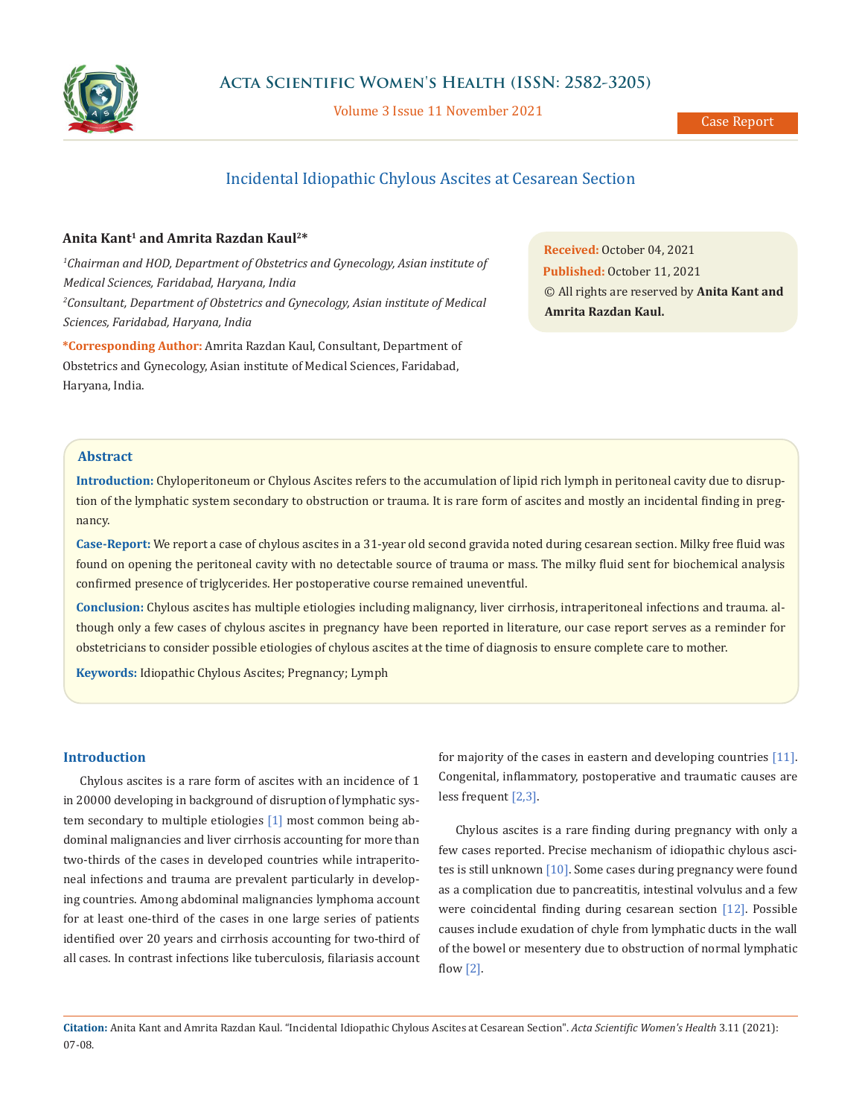

Volume 3 Issue 11 November 2021

# Incidental Idiopathic Chylous Ascites at Cesarean Section

# **Anita Kant1 and Amrita Razdan Kaul2\***

<sup>1</sup>Chairman and HOD, Department of Obstetrics and Gynecology, Asian institute of *Medical Sciences, Faridabad, Haryana, India 2 Consultant, Department of Obstetrics and Gynecology, Asian institute of Medical Sciences, Faridabad, Haryana, India*

**\*Corresponding Author:** Amrita Razdan Kaul, Consultant, Department of Obstetrics and Gynecology, Asian institute of Medical Sciences, Faridabad, Haryana, India.

**Received:** October 04, 2021 **Published:** October 11, 2021 © All rights are reserved by **Anita Kant and Amrita Razdan Kaul.**

# **Abstract**

**Introduction:** Chyloperitoneum or Chylous Ascites refers to the accumulation of lipid rich lymph in peritoneal cavity due to disruption of the lymphatic system secondary to obstruction or trauma. It is rare form of ascites and mostly an incidental finding in pregnancy.

**Case-Report:** We report a case of chylous ascites in a 31-year old second gravida noted during cesarean section. Milky free fluid was found on opening the peritoneal cavity with no detectable source of trauma or mass. The milky fluid sent for biochemical analysis confirmed presence of triglycerides. Her postoperative course remained uneventful.

**Conclusion:** Chylous ascites has multiple etiologies including malignancy, liver cirrhosis, intraperitoneal infections and trauma. although only a few cases of chylous ascites in pregnancy have been reported in literature, our case report serves as a reminder for obstetricians to consider possible etiologies of chylous ascites at the time of diagnosis to ensure complete care to mother.

**Keywords:** Idiopathic Chylous Ascites; Pregnancy; Lymph

# **Introduction**

Chylous ascites is a rare form of ascites with an incidence of 1 in 20000 developing in background of disruption of lymphatic system secondary to multiple etiologies [1] most common being abdominal malignancies and liver cirrhosis accounting for more than two-thirds of the cases in developed countries while intraperitoneal infections and trauma are prevalent particularly in developing countries. Among abdominal malignancies lymphoma account for at least one-third of the cases in one large series of patients identified over 20 years and cirrhosis accounting for two-third of all cases. In contrast infections like tuberculosis, filariasis account for majority of the cases in eastern and developing countries [11]. Congenital, inflammatory, postoperative and traumatic causes are less frequent [2,3].

Chylous ascites is a rare finding during pregnancy with only a few cases reported. Precise mechanism of idiopathic chylous ascites is still unknown [10]. Some cases during pregnancy were found as a complication due to pancreatitis, intestinal volvulus and a few were coincidental finding during cesarean section [12]. Possible causes include exudation of chyle from lymphatic ducts in the wall of the bowel or mesentery due to obstruction of normal lymphatic flow [2].

**Citation:** Anita Kant and Amrita Razdan Kaul*.* "Incidental Idiopathic Chylous Ascites at Cesarean Section". *Acta Scientific Women's Health* 3.11 (2021): 07-08.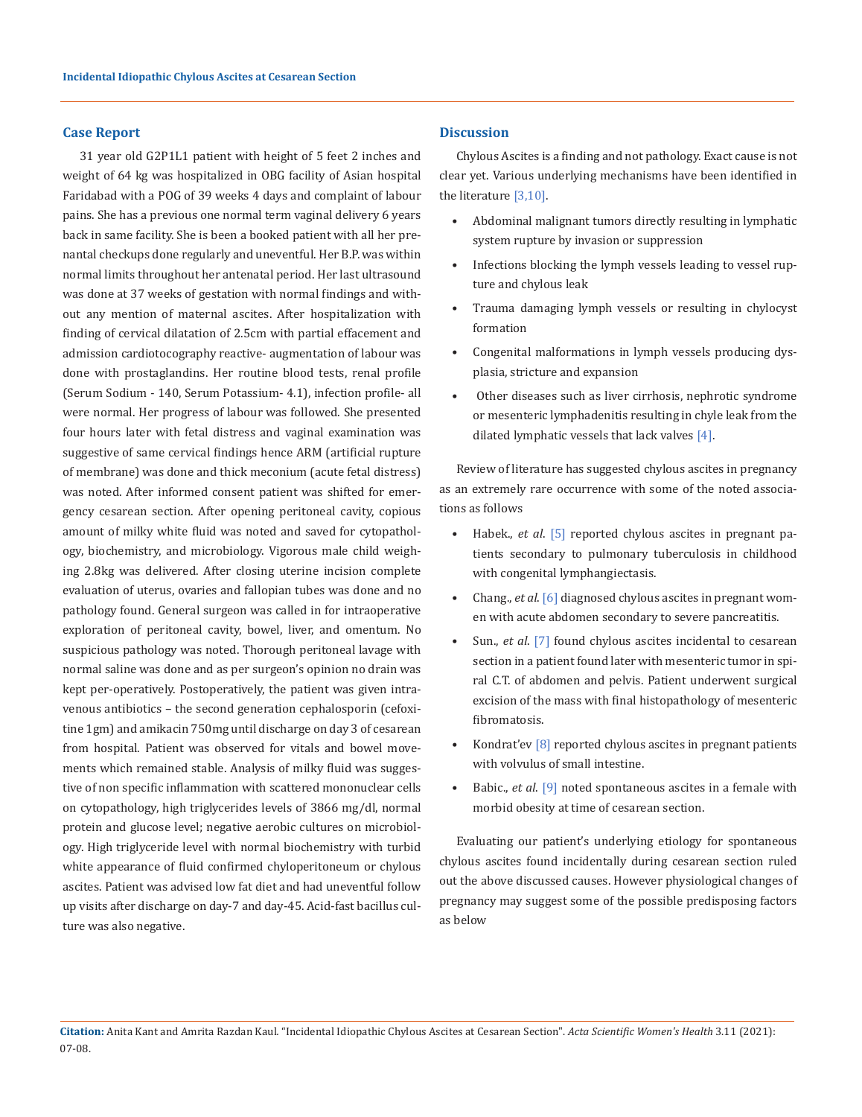#### **Case Report**

31 year old G2P1L1 patient with height of 5 feet 2 inches and weight of 64 kg was hospitalized in OBG facility of Asian hospital Faridabad with a POG of 39 weeks 4 days and complaint of labour pains. She has a previous one normal term vaginal delivery 6 years back in same facility. She is been a booked patient with all her prenantal checkups done regularly and uneventful. Her B.P. was within normal limits throughout her antenatal period. Her last ultrasound was done at 37 weeks of gestation with normal findings and without any mention of maternal ascites. After hospitalization with finding of cervical dilatation of 2.5cm with partial effacement and admission cardiotocography reactive- augmentation of labour was done with prostaglandins. Her routine blood tests, renal profile (Serum Sodium - 140, Serum Potassium- 4.1), infection profile- all were normal. Her progress of labour was followed. She presented four hours later with fetal distress and vaginal examination was suggestive of same cervical findings hence ARM (artificial rupture of membrane) was done and thick meconium (acute fetal distress) was noted. After informed consent patient was shifted for emergency cesarean section. After opening peritoneal cavity, copious amount of milky white fluid was noted and saved for cytopathology, biochemistry, and microbiology. Vigorous male child weighing 2.8kg was delivered. After closing uterine incision complete evaluation of uterus, ovaries and fallopian tubes was done and no pathology found. General surgeon was called in for intraoperative exploration of peritoneal cavity, bowel, liver, and omentum. No suspicious pathology was noted. Thorough peritoneal lavage with normal saline was done and as per surgeon's opinion no drain was kept per-operatively. Postoperatively, the patient was given intravenous antibiotics – the second generation cephalosporin (cefoxitine 1gm) and amikacin 750mg until discharge on day 3 of cesarean from hospital. Patient was observed for vitals and bowel movements which remained stable. Analysis of milky fluid was suggestive of non specific inflammation with scattered mononuclear cells on cytopathology, high triglycerides levels of 3866 mg/dl, normal protein and glucose level; negative aerobic cultures on microbiology. High triglyceride level with normal biochemistry with turbid white appearance of fluid confirmed chyloperitoneum or chylous ascites. Patient was advised low fat diet and had uneventful follow up visits after discharge on day-7 and day-45. Acid-fast bacillus culture was also negative.

#### **Discussion**

Chylous Ascites is a finding and not pathology. Exact cause is not clear yet. Various underlying mechanisms have been identified in the literature [3,10].

- Abdominal malignant tumors directly resulting in lymphatic system rupture by invasion or suppression
- Infections blocking the lymph vessels leading to vessel rupture and chylous leak
- Trauma damaging lymph vessels or resulting in chylocyst formation
- Congenital malformations in lymph vessels producing dysplasia, stricture and expansion
- Other diseases such as liver cirrhosis, nephrotic syndrome or mesenteric lymphadenitis resulting in chyle leak from the dilated lymphatic vessels that lack valves [4].

Review of literature has suggested chylous ascites in pregnancy as an extremely rare occurrence with some of the noted associations as follows

- Habek., *et al*. [5] reported chylous ascites in pregnant patients secondary to pulmonary tuberculosis in childhood with congenital lymphangiectasis.
- Chang., *et al*. [6] diagnosed chylous ascites in pregnant women with acute abdomen secondary to severe pancreatitis.
- Sun., *et al*. [7] found chylous ascites incidental to cesarean section in a patient found later with mesenteric tumor in spiral C.T. of abdomen and pelvis. Patient underwent surgical excision of the mass with final histopathology of mesenteric fibromatosis.
- Kondrat'ev <a>[8]</a> reported chylous ascites in pregnant patients with volvulus of small intestine.
- Babic., *et al*. [9] noted spontaneous ascites in a female with morbid obesity at time of cesarean section.

Evaluating our patient's underlying etiology for spontaneous chylous ascites found incidentally during cesarean section ruled out the above discussed causes. However physiological changes of pregnancy may suggest some of the possible predisposing factors as below